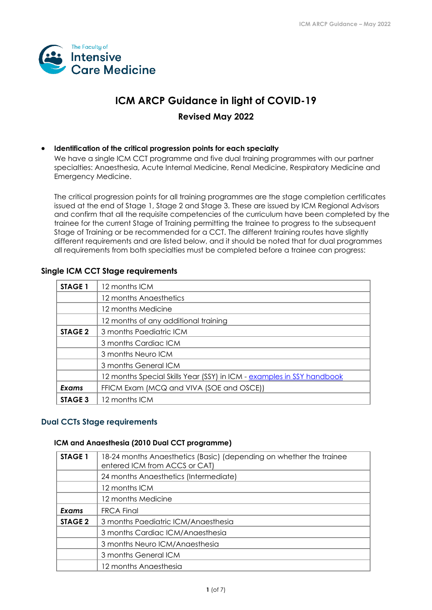

# **ICM ARCP Guidance in light of COVID-19**

**Revised May 2022**

## • **Identification of the critical progression points for each specialty**

We have a single ICM CCT programme and five dual training programmes with our partner specialties: Anaesthesia, Acute Internal Medicine, Renal Medicine, Respiratory Medicine and Emergency Medicine.

The critical progression points for all training programmes are the stage completion certificates issued at the end of Stage 1, Stage 2 and Stage 3. These are issued by ICM Regional Advisors and confirm that all the requisite competencies of the curriculum have been completed by the trainee for the current Stage of Training permitting the trainee to progress to the subsequent Stage of Training or be recommended for a CCT. The different training routes have slightly different requirements and are listed below, and it should be noted that for dual programmes all requirements from both specialties must be completed before a trainee can progress:

| <b>STAGE 1</b> | 12 months ICM                                                         |
|----------------|-----------------------------------------------------------------------|
|                | 12 months Anaesthetics                                                |
|                | 12 months Medicine                                                    |
|                | 12 months of any additional training                                  |
| STAGE 2        | 3 months Paediatric ICM                                               |
|                | 3 months Cardiac ICM                                                  |
|                | 3 months Neuro ICM                                                    |
|                | 3 months General ICM                                                  |
|                | 12 months Special Skills Year (SSY) in ICM - examples in SSY handbook |
| Exams          | FFICM Exam (MCQ and VIVA (SOE and OSCE))                              |
| STAGE 3        | 12 months ICM                                                         |

## **Single ICM CCT Stage requirements**

## **Dual CCTs Stage requirements**

#### **ICM and Anaesthesia (2010 Dual CCT programme)**

| <b>STAGE 1</b> | 18-24 months Angesthetics (Basic) (depending on whether the trainee<br>entered ICM from ACCS or CAT) |  |  |  |
|----------------|------------------------------------------------------------------------------------------------------|--|--|--|
|                | 24 months Anaesthetics (Intermediate)                                                                |  |  |  |
|                | 12 months ICM                                                                                        |  |  |  |
|                | 12 months Medicine                                                                                   |  |  |  |
| Exams          | <b>FRCA Final</b>                                                                                    |  |  |  |
| STAGE 2        | 3 months Paediatric ICM/Anaesthesia                                                                  |  |  |  |
|                | 3 months Cardiac ICM/Anaesthesia                                                                     |  |  |  |
|                | 3 months Neuro ICM/Anaesthesia                                                                       |  |  |  |
|                | 3 months General ICM                                                                                 |  |  |  |
|                | 12 months Angesthesia                                                                                |  |  |  |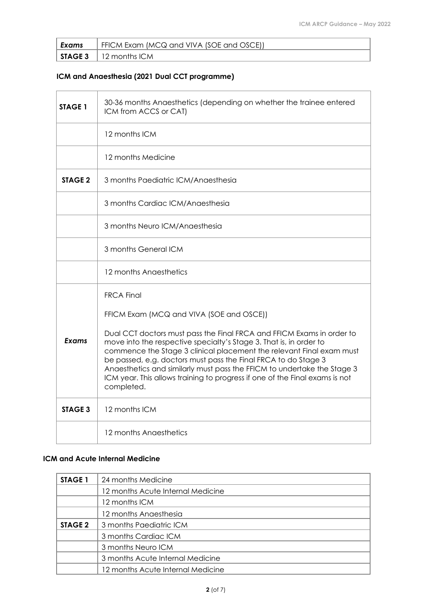| Exams | FFICM Exam (MCQ and VIVA (SOE and OSCE)) |
|-------|------------------------------------------|
|       | $\vert$ STAGE 3 $\vert$ 12 months ICM    |

## **ICM and Anaesthesia (2021 Dual CCT programme)**

| <b>STAGE 1</b> | 30-36 months Anaesthetics (depending on whether the trainee entered<br>ICM from ACCS or CAT)                                                                                                                                                                                                                                                                                                                                                                                                                                   |  |  |
|----------------|--------------------------------------------------------------------------------------------------------------------------------------------------------------------------------------------------------------------------------------------------------------------------------------------------------------------------------------------------------------------------------------------------------------------------------------------------------------------------------------------------------------------------------|--|--|
|                | 12 months ICM                                                                                                                                                                                                                                                                                                                                                                                                                                                                                                                  |  |  |
|                | 12 months Medicine                                                                                                                                                                                                                                                                                                                                                                                                                                                                                                             |  |  |
| <b>STAGE 2</b> | 3 months Paediatric ICM/Anaesthesia                                                                                                                                                                                                                                                                                                                                                                                                                                                                                            |  |  |
|                | 3 months Cardiac ICM/Anaesthesia                                                                                                                                                                                                                                                                                                                                                                                                                                                                                               |  |  |
|                | 3 months Neuro ICM/Anaesthesia                                                                                                                                                                                                                                                                                                                                                                                                                                                                                                 |  |  |
|                | 3 months General ICM                                                                                                                                                                                                                                                                                                                                                                                                                                                                                                           |  |  |
|                | 12 months Angesthetics                                                                                                                                                                                                                                                                                                                                                                                                                                                                                                         |  |  |
| Exams          | <b>FRCA Final</b><br>FFICM Exam (MCQ and VIVA (SOE and OSCE))<br>Dual CCT doctors must pass the Final FRCA and FFICM Exams in order to<br>move into the respective specialty's Stage 3. That is, in order to<br>commence the Stage 3 clinical placement the relevant Final exam must<br>be passed, e.g. doctors must pass the Final FRCA to do Stage 3<br>Anaesthetics and similarly must pass the FFICM to undertake the Stage 3<br>ICM year. This allows training to progress if one of the Final exams is not<br>completed. |  |  |
| <b>STAGE 3</b> | 12 months ICM                                                                                                                                                                                                                                                                                                                                                                                                                                                                                                                  |  |  |
|                | 12 months Angesthetics                                                                                                                                                                                                                                                                                                                                                                                                                                                                                                         |  |  |

## **ICM and Acute Internal Medicine**

| <b>STAGE 1</b> | 24 months Medicine                |
|----------------|-----------------------------------|
|                | 12 months Acute Internal Medicine |
|                | 12 months ICM                     |
|                | 12 months Anaesthesia             |
| STAGE 2        | 3 months Paediatric ICM           |
|                | 3 months Cardiac ICM              |
|                | 3 months Neuro ICM                |
|                | 3 months Acute Internal Medicine  |
|                | 12 months Acute Internal Medicine |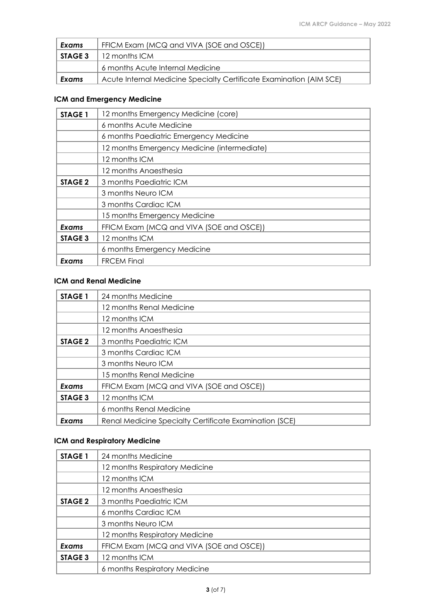| Exams          | FFICM Exam (MCQ and VIVA (SOE and OSCE))                            |  |  |
|----------------|---------------------------------------------------------------------|--|--|
| <b>STAGE 3</b> | 12 months ICM                                                       |  |  |
|                | 6 months Acute Internal Medicine                                    |  |  |
| Exams          | Acute Internal Medicine Specialty Certificate Examination (AIM SCE) |  |  |

## **ICM and Emergency Medicine**

| 12 months Emergency Medicine (core)         |  |  |  |
|---------------------------------------------|--|--|--|
| 6 months Acute Medicine                     |  |  |  |
| 6 months Paediatric Emergency Medicine      |  |  |  |
| 12 months Emergency Medicine (intermediate) |  |  |  |
| 12 months ICM                               |  |  |  |
| 12 months Anaesthesia                       |  |  |  |
| 3 months Paediatric ICM                     |  |  |  |
| 3 months Neuro ICM                          |  |  |  |
| 3 months Cardiac ICM                        |  |  |  |
| 15 months Emergency Medicine                |  |  |  |
| FFICM Exam (MCQ and VIVA (SOE and OSCE))    |  |  |  |
| 12 months ICM                               |  |  |  |
| 6 months Emergency Medicine                 |  |  |  |
| <b>FRCEM Final</b>                          |  |  |  |
|                                             |  |  |  |

## **ICM and Renal Medicine**

| <b>STAGE 1</b> | 24 months Medicine                                     |  |
|----------------|--------------------------------------------------------|--|
|                | 12 months Renal Medicine                               |  |
|                | 12 months ICM                                          |  |
|                | 12 months Anaesthesia                                  |  |
| STAGE 2        | 3 months Paediatric ICM                                |  |
|                | 3 months Cardiac ICM                                   |  |
|                | 3 months Neuro ICM                                     |  |
|                | 15 months Renal Medicine                               |  |
| Exams          | FFICM Exam (MCQ and VIVA (SOE and OSCE))               |  |
| STAGE 3        | 12 months ICM                                          |  |
|                | 6 months Renal Medicine                                |  |
| Exams          | Renal Medicine Specialty Certificate Examination (SCE) |  |

## **ICM and Respiratory Medicine**

| <b>STAGE 1</b> | 24 months Medicine                       |  |  |  |
|----------------|------------------------------------------|--|--|--|
|                | 12 months Respiratory Medicine           |  |  |  |
|                | 12 months ICM                            |  |  |  |
|                | 12 months Anaesthesia                    |  |  |  |
| <b>STAGE 2</b> | 3 months Paediatric ICM                  |  |  |  |
|                | 6 months Cardiac ICM                     |  |  |  |
|                | 3 months Neuro ICM                       |  |  |  |
|                | 12 months Respiratory Medicine           |  |  |  |
| Exams          | FFICM Exam (MCQ and VIVA (SOE and OSCE)) |  |  |  |
| STAGE 3        | 12 months ICM                            |  |  |  |
|                | 6 months Respiratory Medicine            |  |  |  |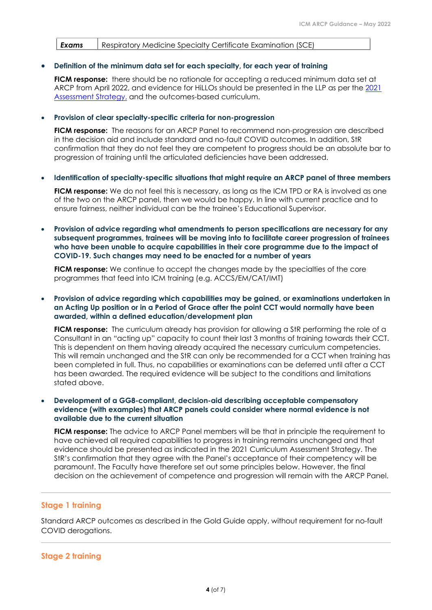#### **Exams** Respiratory Medicine Specialty Certificate Examination (SCE)

#### • **Definition of the minimum data set for each specialty, for each year of training**

**FICM response:** there should be no rationale for accepting a reduced minimum data set at ARCP from April 2022, and evidence for HiLLOs should be presented in the LLP as per th[e 2021](https://www.ficm.ac.uk/sites/ficm/files/documents/2021-10/icm_curriculum_supporting_excellence_v1.0_-_assessment_strategy.pdf)  [Assessment Strategy,](https://www.ficm.ac.uk/sites/ficm/files/documents/2021-10/icm_curriculum_supporting_excellence_v1.0_-_assessment_strategy.pdf) and the outcomes-based curriculum.

#### • **Provision of clear specialty-specific criteria for non-progression**

**FICM response:** The reasons for an ARCP Panel to recommend non-progression are described in the decision aid and include standard and no-fault COVID outcomes. In addition, StR confirmation that they do not feel they are competent to progress should be an absolute bar to progression of training until the articulated deficiencies have been addressed.

#### • **Identification of specialty-specific situations that might require an ARCP panel of three members**

**FICM response:** We do not feel this is necessary, as long as the ICM TPD or RA is involved as one of the two on the ARCP panel, then we would be happy. In line with current practice and to ensure fairness, neither individual can be the trainee's Educational Supervisor.

• **Provision of advice regarding what amendments to person specifications are necessary for any subsequent programmes, trainees will be moving into to facilitate career progression of trainees who have been unable to acquire capabilities in their core programme due to the impact of COVID-19. Such changes may need to be enacted for a number of years**

**FICM response:** We continue to accept the changes made by the specialties of the core programmes that feed into ICM training (e.g. ACCS/EM/CAT/IMT)

• **Provision of advice regarding which capabilities may be gained, or examinations undertaken in an Acting Up position or in a Period of Grace after the point CCT would normally have been awarded, within a defined education/development plan**

**FICM response:** The curriculum already has provision for allowing a StR performing the role of a Consultant in an "acting up" capacity to count their last 3 months of training towards their CCT. This is dependent on them having already acquired the necessary curriculum competencies. This will remain unchanged and the StR can only be recommended for a CCT when training has been completed in full. Thus, no capabilities or examinations can be deferred until after a CCT has been awarded. The required evidence will be subject to the conditions and limitations stated above.

#### • **Development of a GG8-compliant, decision-aid describing acceptable compensatory evidence (with examples) that ARCP panels could consider where normal evidence is not available due to the current situation**

FICM response: The advice to ARCP Panel members will be that in principle the requirement to have achieved all required capabilities to progress in training remains unchanged and that evidence should be presented as indicated in the 2021 Curriculum Assessment Strategy. The StR's confirmation that they agree with the Panel's acceptance of their competency will be paramount. The Faculty have therefore set out some principles below. However, the final decision on the achievement of competence and progression will remain with the ARCP Panel.

#### **Stage 1 training**

Standard ARCP outcomes as described in the Gold Guide apply, without requirement for no-fault COVID derogations.

## **Stage 2 training**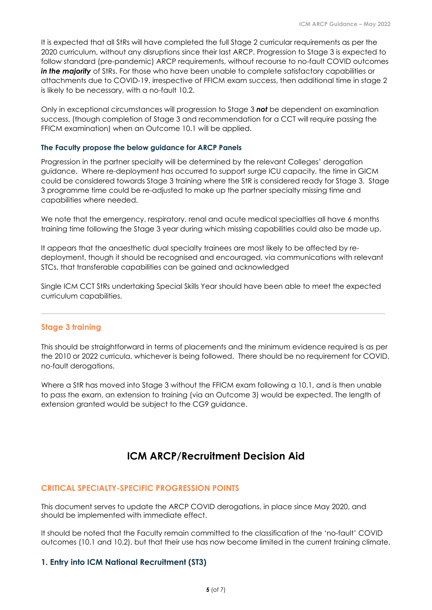It is expected that all StRs will have completed the full Stage 2 curricular requirements as per the 2020 curriculum, without any disruptions since their last ARCP. Progression to Stage 3 is expected to follow standard (pre-pandemic) ARCP requirements, without recourse to no-fault COVID outcomes *in the majority* of StRs. For those who have been unable to complete satisfactory capabilities or attachments due to COVID-19, irrespective of FFICM exam success, then additional time in stage 2 is likely to be necessary, with a no-fault 10.2.

Only in exceptional circumstances will progression to Stage 3 *not* be dependent on examination success, (though completion of Stage 3 and recommendation for a CCT will require passing the FFICM examination) when an Outcome 10.1 will be applied.

#### **The Faculty propose the below guidance for ARCP Panels**

Progression in the partner specialty will be determined by the relevant Colleges' derogation guidance. Where re-deployment has occurred to support surge ICU capacity, the time in GICM could be considered towards Stage 3 training where the StR is considered ready for Stage 3. Stage 3 programme time could be re-adjusted to make up the partner specialty missing time and capabilities where needed.

We note that the emergency, respiratory, renal and acute medical specialties all have 6 months training time following the Stage 3 year during which missing capabilities could also be made up.

It appears that the anaesthetic dual specialty trainees are most likely to be affected by redeployment, though it should be recognised and encouraged, via communications with relevant STCs, that transferable capabilities can be gained and acknowledged

Single ICM CCT StRs undertaking Special Skills Year should have been able to meet the expected curriculum capabilities.

## **Stage 3 training**

This should be straightforward in terms of placements and the minimum evidence required is as per the 2010 or 2022 curricula, whichever is being followed. There should be no requirement for COVID, no-fault derogations.

Where a StR has moved into Stage 3 without the FFICM exam following a 10.1, and is then unable to pass the exam, an extension to training (via an Outcome 3) would be expected. The length of extension granted would be subject to the CG9 guidance.

## **ICM ARCP/Recruitment Decision Aid**

## **CRITICAL SPECIALTY-SPECIFIC PROGRESSION POINTS**

This document serves to update the ARCP COVID derogations, in place since May 2020, and should be implemented with immediate effect.

It should be noted that the Faculty remain committed to the classification of the 'no-fault' COVID outcomes (10.1 and 10.2), but that their use has now become limited in the current training climate.

## **1. Entry into ICM National Recruitment (ST3)**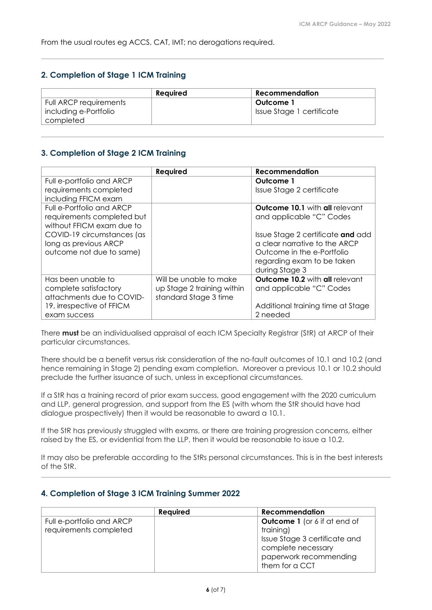From the usual routes eg ACCS, CAT, IMT; no derogations required.

## **2. Completion of Stage 1 ICM Training**

|                        | Required | Recommendation            |
|------------------------|----------|---------------------------|
| Full ARCP requirements |          | Outcome 1                 |
| including e-Portfolio  |          | Issue Stage 1 certificate |
| completed              |          |                           |

## **3. Completion of Stage 2 ICM Training**

|                            | <b>Required</b>            | <b>Recommendation</b>                 |
|----------------------------|----------------------------|---------------------------------------|
| Full e-portfolio and ARCP  |                            | Outcome 1                             |
| requirements completed     |                            | Issue Stage 2 certificate             |
| including FFICM exam       |                            |                                       |
| Full e-Portfolio and ARCP  |                            | <b>Outcome 10.1</b> with all relevant |
| requirements completed but |                            | and applicable "C" Codes              |
| without FFICM exam due to  |                            |                                       |
| COVID-19 circumstances (as |                            | Issue Stage 2 certificate and add     |
| long as previous ARCP      |                            | a clear narrative to the ARCP         |
| outcome not due to same)   |                            | Outcome in the e-Portfolio            |
|                            |                            | regarding exam to be taken            |
|                            |                            | during Stage 3                        |
| Has been unable to         | Will be unable to make     | <b>Outcome 10.2</b> with all relevant |
| complete satisfactory      | up Stage 2 training within | and applicable "C" Codes              |
| attachments due to COVID-  | standard Stage 3 time      |                                       |
| 19, irrespective of FFICM  |                            | Additional training time at Stage     |
| exam success               |                            | 2 needed                              |

There **must** be an individualised appraisal of each ICM Specialty Registrar (StR) at ARCP of their particular circumstances.

There should be a benefit versus risk consideration of the no-fault outcomes of 10.1 and 10.2 (and hence remaining in Stage 2) pending exam completion. Moreover a previous 10.1 or 10.2 should preclude the further issuance of such, unless in exceptional circumstances.

If a StR has a training record of prior exam success, good engagement with the 2020 curriculum and LLP, general progression, and support from the ES (with whom the StR should have had dialogue prospectively) then it would be reasonable to award a 10.1.

If the StR has previously struggled with exams, or there are training progression concerns, either raised by the ES, or evidential from the LLP, then it would be reasonable to issue a 10.2.

It may also be preferable according to the StRs personal circumstances. This is in the best interests of the StR.

## **4. Completion of Stage 3 ICM Training Summer 2022**

|                           | Required | <b>Recommendation</b>               |
|---------------------------|----------|-------------------------------------|
| Full e-portfolio and ARCP |          | <b>Outcome 1</b> (or 6 if at end of |
| requirements completed    |          | training)                           |
|                           |          | Issue Stage 3 certificate and       |
|                           |          | complete necessary                  |
|                           |          | paperwork recommending              |
|                           |          | them for a CCT                      |